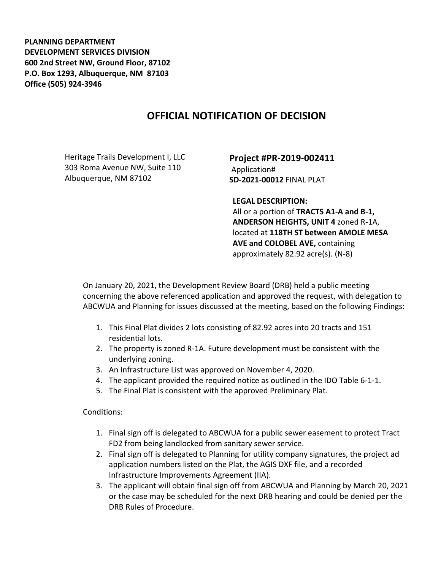**PLANNING DEPARTMENT DEVELOPMENT SERVICES DIVISION 600 2nd Street NW, Ground Floor, 87102 P.O. Box 1293, Albuquerque, NM 87103 Office (505) 924-3946** 

## **OFFICIAL NOTIFICATION OF DECISION**

Heritage Trails Development I, LLC 303 Roma Avenue NW, Suite 110 Albuquerque, NM 87102

**Project #PR-2019-002411** Application# **SD-2021-00012** FINAL PLAT

**LEGAL DESCRIPTION:**

All or a portion of **TRACTS A1-A and B-1, ANDERSON HEIGHTS, UNIT 4** zoned R-1A, located at **118TH ST between AMOLE MESA AVE and COLOBEL AVE,** containing approximately 82.92 acre(s). (N-8)

On January 20, 2021, the Development Review Board (DRB) held a public meeting concerning the above referenced application and approved the request, with delegation to ABCWUA and Planning for issues discussed at the meeting, based on the following Findings:

- 1. This Final Plat divides 2 lots consisting of 82.92 acres into 20 tracts and 151 residential lots.
- 2. The property is zoned R-1A. Future development must be consistent with the underlying zoning.
- 3. An Infrastructure List was approved on November 4, 2020.
- 4. The applicant provided the required notice as outlined in the IDO Table 6-1-1.
- 5. The Final Plat is consistent with the approved Preliminary Plat.

Conditions:

- 1. Final sign off is delegated to ABCWUA for a public sewer easement to protect Tract FD2 from being landlocked from sanitary sewer service.
- 2. Final sign off is delegated to Planning for utility company signatures, the project ad application numbers listed on the Plat, the AGIS DXF file, and a recorded Infrastructure Improvements Agreement (IIA).
- 3. The applicant will obtain final sign off from ABCWUA and Planning by March 20, 2021 or the case may be scheduled for the next DRB hearing and could be denied per the DRB Rules of Procedure.